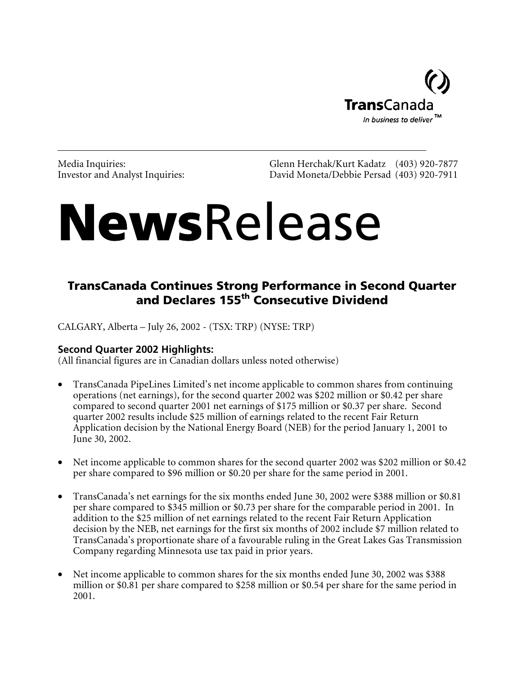

Media Inquiries:<br>
Investor and Analyst Inquiries:<br>
David Moneta/Debbie Persad (403) 920-7911 David Moneta/Debbie Persad (403) 920-7911

# **NewsRelease**

# TransCanada Continues Strong Performance in Second Quarter and Declares 155<sup>th</sup> Consecutive Dividend

CALGARY, Alberta – July 26, 2002 - (TSX: TRP) (NYSE: TRP)

# **Second Quarter 2002 Highlights:**

(All financial figures are in Canadian dollars unless noted otherwise)

- TransCanada PipeLines Limited's net income applicable to common shares from continuing operations (net earnings), for the second quarter 2002 was \$202 million or \$0.42 per share compared to second quarter 2001 net earnings of \$175 million or \$0.37 per share. Second quarter 2002 results include \$25 million of earnings related to the recent Fair Return Application decision by the National Energy Board (NEB) for the period January 1, 2001 to June 30, 2002.
- Net income applicable to common shares for the second quarter 2002 was \$202 million or \$0.42 per share compared to \$96 million or \$0.20 per share for the same period in 2001.
- TransCanada's net earnings for the six months ended June 30, 2002 were \$388 million or \$0.81 per share compared to \$345 million or \$0.73 per share for the comparable period in 2001. In addition to the \$25 million of net earnings related to the recent Fair Return Application decision by the NEB, net earnings for the first six months of 2002 include \$7 million related to TransCanada's proportionate share of a favourable ruling in the Great Lakes Gas Transmission Company regarding Minnesota use tax paid in prior years.
- Net income applicable to common shares for the six months ended June 30, 2002 was \$388 million or \$0.81 per share compared to \$258 million or \$0.54 per share for the same period in 2001.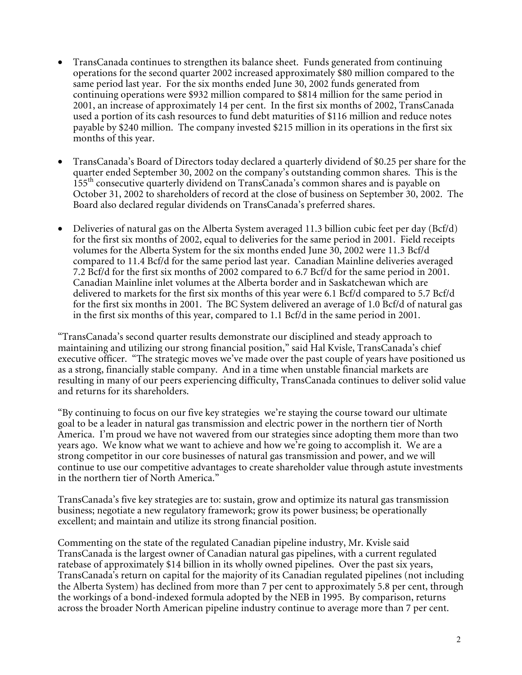- TransCanada continues to strengthen its balance sheet. Funds generated from continuing operations for the second quarter 2002 increased approximately \$80 million compared to the same period last year. For the six months ended June 30, 2002 funds generated from continuing operations were \$932 million compared to \$814 million for the same period in 2001, an increase of approximately 14 per cent. In the first six months of 2002, TransCanada used a portion of its cash resources to fund debt maturities of \$116 million and reduce notes payable by \$240 million. The company invested \$215 million in its operations in the first six months of this year.
- TransCanada's Board of Directors today declared a quarterly dividend of \$0.25 per share for the quarter ended September 30, 2002 on the company's outstanding common shares. This is the 155th consecutive quarterly dividend on TransCanada's common shares and is payable on October 31, 2002 to shareholders of record at the close of business on September 30, 2002. The Board also declared regular dividends on TransCanada's preferred shares.
- Deliveries of natural gas on the Alberta System averaged 11.3 billion cubic feet per day (Bcf/d) for the first six months of 2002, equal to deliveries for the same period in 2001. Field receipts volumes for the Alberta System for the six months ended June 30, 2002 were 11.3 Bcf/d compared to 11.4 Bcf/d for the same period last year. Canadian Mainline deliveries averaged 7.2 Bcf/d for the first six months of 2002 compared to 6.7 Bcf/d for the same period in 2001. Canadian Mainline inlet volumes at the Alberta border and in Saskatchewan which are delivered to markets for the first six months of this year were 6.1 Bcf/d compared to 5.7 Bcf/d for the first six months in 2001. The BC System delivered an average of 1.0 Bcf/d of natural gas in the first six months of this year, compared to 1.1 Bcf/d in the same period in 2001.

"TransCanada's second quarter results demonstrate our disciplined and steady approach to maintaining and utilizing our strong financial position," said Hal Kvisle, TransCanada's chief executive officer. "The strategic moves we've made over the past couple of years have positioned us as a strong, financially stable company. And in a time when unstable financial markets are resulting in many of our peers experiencing difficulty, TransCanada continues to deliver solid value and returns for its shareholders.

"By continuing to focus on our five key strategies we're staying the course toward our ultimate goal to be a leader in natural gas transmission and electric power in the northern tier of North America. I'm proud we have not wavered from our strategies since adopting them more than two years ago. We know what we want to achieve and how we're going to accomplish it. We are a strong competitor in our core businesses of natural gas transmission and power, and we will continue to use our competitive advantages to create shareholder value through astute investments in the northern tier of North America."

TransCanada's five key strategies are to: sustain, grow and optimize its natural gas transmission business; negotiate a new regulatory framework; grow its power business; be operationally excellent; and maintain and utilize its strong financial position.

Commenting on the state of the regulated Canadian pipeline industry, Mr. Kvisle said TransCanada is the largest owner of Canadian natural gas pipelines, with a current regulated ratebase of approximately \$14 billion in its wholly owned pipelines. Over the past six years, TransCanada's return on capital for the majority of its Canadian regulated pipelines (not including the Alberta System) has declined from more than 7 per cent to approximately 5.8 per cent, through the workings of a bond-indexed formula adopted by the NEB in 1995. By comparison, returns across the broader North American pipeline industry continue to average more than 7 per cent.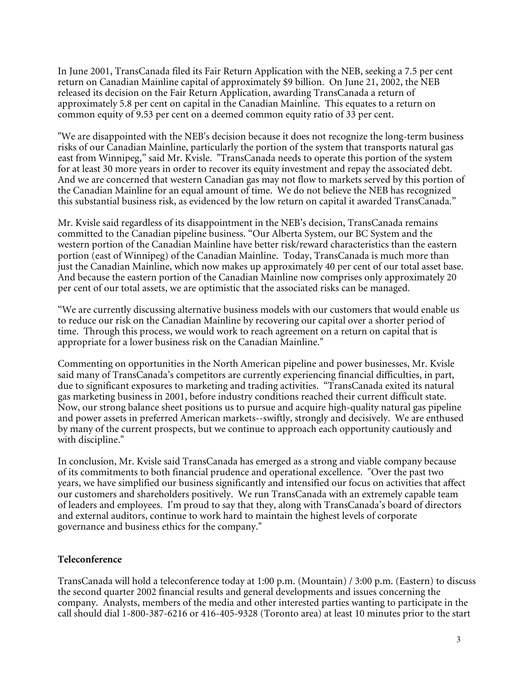In June 2001, TransCanada filed its Fair Return Application with the NEB, seeking a 7.5 per cent return on Canadian Mainline capital of approximately \$9 billion. On June 21, 2002, the NEB released its decision on the Fair Return Application, awarding TransCanada a return of approximately 5.8 per cent on capital in the Canadian Mainline. This equates to a return on common equity of 9.53 per cent on a deemed common equity ratio of 33 per cent.

"We are disappointed with the NEB's decision because it does not recognize the long-term business risks of our Canadian Mainline, particularly the portion of the system that transports natural gas east from Winnipeg," said Mr. Kvisle. "TransCanada needs to operate this portion of the system for at least 30 more years in order to recover its equity investment and repay the associated debt. And we are concerned that western Canadian gas may not flow to markets served by this portion of the Canadian Mainline for an equal amount of time. We do not believe the NEB has recognized this substantial business risk, as evidenced by the low return on capital it awarded TransCanada."

Mr. Kvisle said regardless of its disappointment in the NEB's decision, TransCanada remains committed to the Canadian pipeline business. "Our Alberta System, our BC System and the western portion of the Canadian Mainline have better risk/reward characteristics than the eastern portion (east of Winnipeg) of the Canadian Mainline. Today, TransCanada is much more than just the Canadian Mainline, which now makes up approximately 40 per cent of our total asset base. And because the eastern portion of the Canadian Mainline now comprises only approximately 20 per cent of our total assets, we are optimistic that the associated risks can be managed.

"We are currently discussing alternative business models with our customers that would enable us to reduce our risk on the Canadian Mainline by recovering our capital over a shorter period of time. Through this process, we would work to reach agreement on a return on capital that is appropriate for a lower business risk on the Canadian Mainline."

Commenting on opportunities in the North American pipeline and power businesses, Mr. Kvisle said many of TransCanada's competitors are currently experiencing financial difficulties, in part, due to significant exposures to marketing and trading activities. "TransCanada exited its natural gas marketing business in 2001, before industry conditions reached their current difficult state. Now, our strong balance sheet positions us to pursue and acquire high-quality natural gas pipeline and power assets in preferred American markets--swiftly, strongly and decisively. We are enthused by many of the current prospects, but we continue to approach each opportunity cautiously and with discipline."

In conclusion, Mr. Kvisle said TransCanada has emerged as a strong and viable company because of its commitments to both financial prudence and operational excellence. "Over the past two years, we have simplified our business significantly and intensified our focus on activities that affect our customers and shareholders positively. We run TransCanada with an extremely capable team of leaders and employees. I'm proud to say that they, along with TransCanada's board of directors and external auditors, continue to work hard to maintain the highest levels of corporate governance and business ethics for the company."

#### **Teleconference**

TransCanada will hold a teleconference today at 1:00 p.m. (Mountain) / 3:00 p.m. (Eastern) to discuss the second quarter 2002 financial results and general developments and issues concerning the company. Analysts, members of the media and other interested parties wanting to participate in the call should dial 1-800-387-6216 or 416-405-9328 (Toronto area) at least 10 minutes prior to the start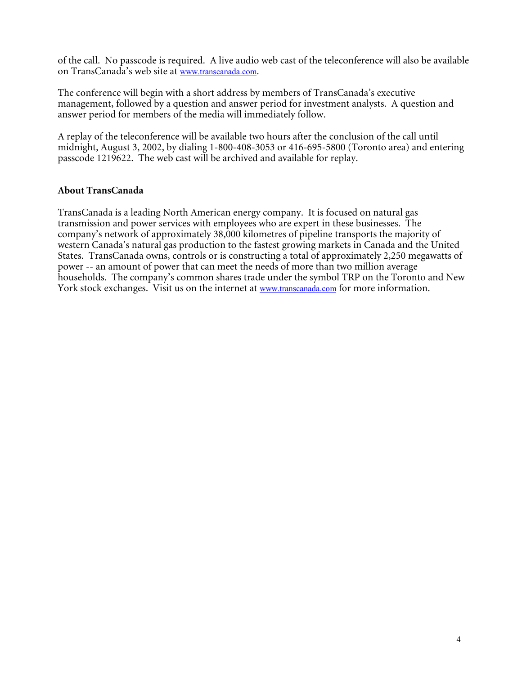of the call. No passcode is required. A live audio web cast of the teleconference will also be available on TransCanada's web site at www.transcanada.com.

The conference will begin with a short address by members of TransCanada's executive management, followed by a question and answer period for investment analysts. A question and answer period for members of the media will immediately follow.

A replay of the teleconference will be available two hours after the conclusion of the call until midnight, August 3, 2002, by dialing 1-800-408-3053 or 416-695-5800 (Toronto area) and entering passcode 1219622. The web cast will be archived and available for replay.

#### **About TransCanada**

TransCanada is a leading North American energy company. It is focused on natural gas transmission and power services with employees who are expert in these businesses. The company's network of approximately 38,000 kilometres of pipeline transports the majority of western Canada's natural gas production to the fastest growing markets in Canada and the United States. TransCanada owns, controls or is constructing a total of approximately 2,250 megawatts of power -- an amount of power that can meet the needs of more than two million average households. The company's common shares trade under the symbol TRP on the Toronto and New York stock exchanges. Visit us on the internet at www.transcanada.com for more information.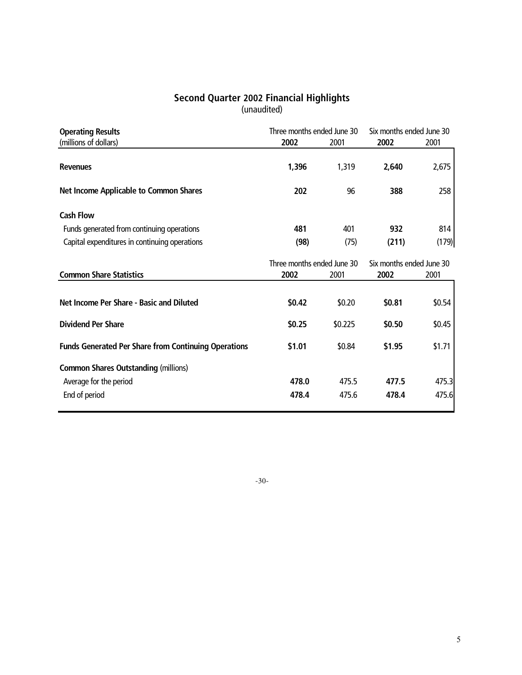#### **Second Quarter 2002 Financial Highlights** (unaudited)

| <b>Operating Results</b>                                    | Three months ended June 30         |         | Six months ended June 30         |        |  |
|-------------------------------------------------------------|------------------------------------|---------|----------------------------------|--------|--|
| (millions of dollars)                                       | 2002                               | 2001    | 2002                             | 2001   |  |
| <b>Revenues</b>                                             | 1,396                              | 1,319   | 2,640                            | 2,675  |  |
| <b>Net Income Applicable to Common Shares</b>               | 202                                | 96      | 388                              | 258    |  |
| <b>Cash Flow</b>                                            |                                    |         |                                  |        |  |
| Funds generated from continuing operations                  | 481                                | 401     | 932                              | 814    |  |
| Capital expenditures in continuing operations               | (98)                               | (75)    | (211)                            | (179)  |  |
| <b>Common Share Statistics</b>                              | Three months ended June 30<br>2002 | 2001    | Six months ended June 30<br>2002 | 2001   |  |
| Net Income Per Share - Basic and Diluted                    | \$0.42                             | \$0.20  | \$0.81                           | \$0.54 |  |
| <b>Dividend Per Share</b>                                   | \$0.25                             | \$0.225 | \$0.50                           | \$0.45 |  |
| <b>Funds Generated Per Share from Continuing Operations</b> | \$1.01                             | \$0.84  | \$1.95                           | \$1.71 |  |
| <b>Common Shares Outstanding (millions)</b>                 |                                    |         |                                  |        |  |
| Average for the period                                      | 478.0                              | 475.5   | 477.5                            | 475.3  |  |
| End of period                                               | 478.4                              | 475.6   | 478.4                            | 475.6  |  |

-30-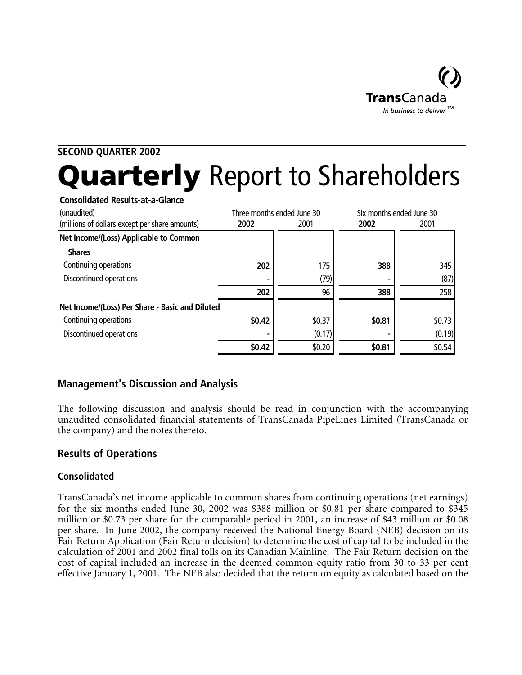

# **SECOND QUARTER 2002** Quarterly Report to Shareholders

| <b>Consolidated Results-at-a-Glance</b>         |        |                            |        |                          |
|-------------------------------------------------|--------|----------------------------|--------|--------------------------|
| (unaudited)                                     |        | Three months ended June 30 |        | Six months ended June 30 |
| (millions of dollars except per share amounts)  | 2002   | 2001                       | 2002   | 2001                     |
| Net Income/(Loss) Applicable to Common          |        |                            |        |                          |
| <b>Shares</b>                                   |        |                            |        |                          |
| Continuing operations                           | 202    | 175                        | 388    | 345                      |
| Discontinued operations                         |        | (79)                       |        | (87)                     |
|                                                 | 202    | 96                         | 388    | 258                      |
| Net Income/(Loss) Per Share - Basic and Diluted |        |                            |        |                          |
| Continuing operations                           | \$0.42 | \$0.37                     | \$0.81 | \$0.73                   |
| Discontinued operations                         |        | (0.17)                     |        | (0.19)                   |
|                                                 | \$0.42 | \$0.20                     | \$0.81 | \$0.54                   |

# **Management's Discussion and Analysis**

The following discussion and analysis should be read in conjunction with the accompanying unaudited consolidated financial statements of TransCanada PipeLines Limited (TransCanada or the company) and the notes thereto.

# **Results of Operations**

# **Consolidated**

TransCanada's net income applicable to common shares from continuing operations (net earnings) for the six months ended June 30, 2002 was \$388 million or \$0.81 per share compared to \$345 million or \$0.73 per share for the comparable period in 2001, an increase of \$43 million or \$0.08 per share. In June 2002, the company received the National Energy Board (NEB) decision on its Fair Return Application (Fair Return decision) to determine the cost of capital to be included in the calculation of 2001 and 2002 final tolls on its Canadian Mainline. The Fair Return decision on the cost of capital included an increase in the deemed common equity ratio from 30 to 33 per cent effective January 1, 2001. The NEB also decided that the return on equity as calculated based on the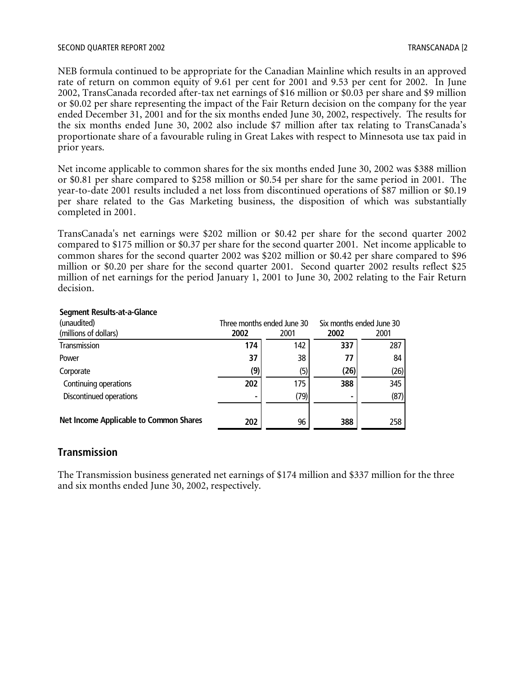#### SECOND QUARTER REPORT 2002 TRANSCANADA [2

NEB formula continued to be appropriate for the Canadian Mainline which results in an approved rate of return on common equity of 9.61 per cent for 2001 and 9.53 per cent for 2002. In June 2002, TransCanada recorded after-tax net earnings of \$16 million or \$0.03 per share and \$9 million or \$0.02 per share representing the impact of the Fair Return decision on the company for the year ended December 31, 2001 and for the six months ended June 30, 2002, respectively. The results for the six months ended June 30, 2002 also include \$7 million after tax relating to TransCanada's proportionate share of a favourable ruling in Great Lakes with respect to Minnesota use tax paid in prior years.

Net income applicable to common shares for the six months ended June 30, 2002 was \$388 million or \$0.81 per share compared to \$258 million or \$0.54 per share for the same period in 2001. The year-to-date 2001 results included a net loss from discontinued operations of \$87 million or \$0.19 per share related to the Gas Marketing business, the disposition of which was substantially completed in 2001.

TransCanada's net earnings were \$202 million or \$0.42 per share for the second quarter 2002 compared to \$175 million or \$0.37 per share for the second quarter 2001. Net income applicable to common shares for the second quarter 2002 was \$202 million or \$0.42 per share compared to \$96 million or \$0.20 per share for the second quarter 2001. Second quarter 2002 results reflect \$25 million of net earnings for the period January 1, 2001 to June 30, 2002 relating to the Fair Return decision.

| (unaudited)                            |      | Three months ended June 30 |      | Six months ended June 30 |
|----------------------------------------|------|----------------------------|------|--------------------------|
| (millions of dollars)                  | 2002 | 2001                       | 2002 | 2001                     |
| Transmission                           | 174  | 142                        | 337  | 287                      |
| Power                                  | 37   | 38                         | 77   | 84                       |
| Corporate                              | (9)  | (5)                        | (26) | (26)                     |
| Continuing operations                  | 202  | 175                        | 388  | 345                      |
| Discontinued operations                |      | (79)                       |      | (87)                     |
|                                        |      |                            |      |                          |
| Net Income Applicable to Common Shares | 202  | 96                         | 388  | 258                      |

#### **Segment Results-at-a-Glance**

#### **Transmission**

The Transmission business generated net earnings of \$174 million and \$337 million for the three and six months ended June 30, 2002, respectively.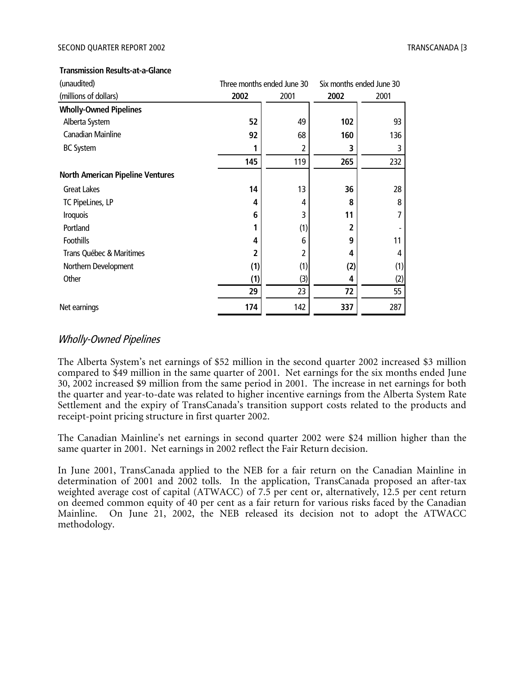#### **Transmission Results-at-a-Glance**

| (unaudited)                             |      | Three months ended June 30 | Six months ended June 30 |      |  |
|-----------------------------------------|------|----------------------------|--------------------------|------|--|
| (millions of dollars)                   | 2002 | 2001                       | 2002                     | 2001 |  |
| <b>Wholly-Owned Pipelines</b>           |      |                            |                          |      |  |
| Alberta System                          | 52   | 49                         | 102                      | 93   |  |
| Canadian Mainline                       | 92   | 68                         | 160                      | 136  |  |
| <b>BC System</b>                        | 1    | 2                          | 3                        | 3    |  |
|                                         | 145  | 119                        | 265                      | 232  |  |
| <b>North American Pipeline Ventures</b> |      |                            |                          |      |  |
| <b>Great Lakes</b>                      | 14   | 13                         | 36                       | 28   |  |
| TC PipeLines, LP                        | 4    | 4                          | 8                        | 8    |  |
| <b>Iroquois</b>                         | 6    | 3                          | 11                       | 7    |  |
| Portland                                |      | (1)                        | 2                        |      |  |
| <b>Foothills</b>                        | 4    | 6                          | 9                        | 11   |  |
| Trans Québec & Maritimes                | 2    | 2                          | 4                        | 4    |  |
| Northern Development                    | (1)  | (1)                        | (2)                      | (1)  |  |
| Other                                   | (1)  | $(3)$                      | 4                        | (2)  |  |
|                                         | 29   | 23                         | 72                       | 55   |  |
| Net earnings                            | 174  | 142                        | 337                      | 287  |  |

#### Wholly-Owned Pipelines

The Alberta System's net earnings of \$52 million in the second quarter 2002 increased \$3 million compared to \$49 million in the same quarter of 2001. Net earnings for the six months ended June 30, 2002 increased \$9 million from the same period in 2001. The increase in net earnings for both the quarter and year-to-date was related to higher incentive earnings from the Alberta System Rate Settlement and the expiry of TransCanada's transition support costs related to the products and receipt-point pricing structure in first quarter 2002.

The Canadian Mainline's net earnings in second quarter 2002 were \$24 million higher than the same quarter in 2001. Net earnings in 2002 reflect the Fair Return decision.

In June 2001, TransCanada applied to the NEB for a fair return on the Canadian Mainline in determination of 2001 and 2002 tolls. In the application, TransCanada proposed an after-tax weighted average cost of capital (ATWACC) of 7.5 per cent or, alternatively, 12.5 per cent return on deemed common equity of 40 per cent as a fair return for various risks faced by the Canadian Mainline. On June 21, 2002, the NEB released its decision not to adopt the ATWACC methodology.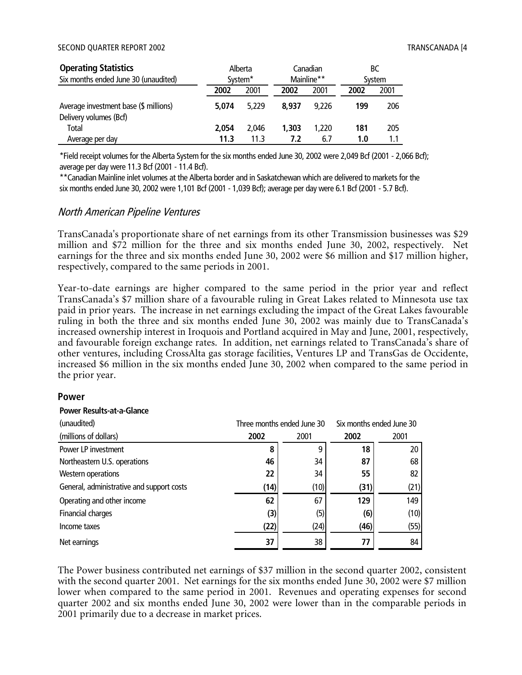#### SECOND QUARTER REPORT 2002 TRANSCANADA [4] TRANSCANADA [4]

| <b>Operating Statistics</b>                                     | Alberta             |       |            | Canadian | ВC     |      |
|-----------------------------------------------------------------|---------------------|-------|------------|----------|--------|------|
| Six months ended June 30 (unaudited)                            | System <sup>*</sup> |       | Mainline** |          | System |      |
|                                                                 | 2002                | 2001  | 2002       | 2001     | 2002   | 2001 |
| Average investment base (\$ millions)<br>Delivery volumes (Bcf) | 5.074               | 5.229 | 8.937      | 9.226    | 199    | 206  |
| Total                                                           | 2,054               | 2.046 | 1.303      | 1,220    | 181    | 205  |
| Average per day                                                 | 11.3                | 11.3  | 7.2        | 6.7      | 1.0    |      |

\*Field receipt volumes for the Alberta System for the six months ended June 30, 2002 were 2,049 Bcf (2001 - 2,066 Bcf); average per day were 11.3 Bcf (2001 - 11.4 Bcf).

\*\*Canadian Mainline inlet volumes at the Alberta border and in Saskatchewan which are delivered to markets for the six months ended June 30, 2002 were 1,101 Bcf (2001 - 1,039 Bcf); average per day were 6.1 Bcf (2001 - 5.7 Bcf).

#### North American Pipeline Ventures

TransCanada's proportionate share of net earnings from its other Transmission businesses was \$29 million and \$72 million for the three and six months ended June 30, 2002, respectively. Net earnings for the three and six months ended June 30, 2002 were \$6 million and \$17 million higher, respectively, compared to the same periods in 2001.

Year-to-date earnings are higher compared to the same period in the prior year and reflect TransCanada's \$7 million share of a favourable ruling in Great Lakes related to Minnesota use tax paid in prior years. The increase in net earnings excluding the impact of the Great Lakes favourable ruling in both the three and six months ended June 30, 2002 was mainly due to TransCanada's increased ownership interest in Iroquois and Portland acquired in May and June, 2001, respectively, and favourable foreign exchange rates. In addition, net earnings related to TransCanada's share of other ventures, including CrossAlta gas storage facilities, Ventures LP and TransGas de Occidente, increased \$6 million in the six months ended June 30, 2002 when compared to the same period in the prior year.

#### **Power**

| (unaudited)                               |      | Three months ended June 30 |      | Six months ended June 30 |
|-------------------------------------------|------|----------------------------|------|--------------------------|
| (millions of dollars)                     | 2002 | 2001                       | 2002 | 2001                     |
| Power LP investment                       | 8    | 9                          | 18   | 20                       |
| Northeastern U.S. operations              | 46   | 34                         | 87   | 68                       |
| Western operations                        | 22   | 34                         | 55   | 82                       |
| General, administrative and support costs | (14) | (10)                       | (31) | (21)                     |
| Operating and other income                | 62   | 67                         | 129  | 149                      |
| Financial charges                         | (3)  | (5)                        | (6)  | (10)                     |
| Income taxes                              | (22) | (24)                       | (46) | (55)                     |
| Net earnings                              | 37   | 38                         | 77   | 84                       |

#### **Power Results-at-a-Glance**

The Power business contributed net earnings of \$37 million in the second quarter 2002, consistent with the second quarter 2001. Net earnings for the six months ended June 30, 2002 were \$7 million lower when compared to the same period in 2001. Revenues and operating expenses for second quarter 2002 and six months ended June 30, 2002 were lower than in the comparable periods in 2001 primarily due to a decrease in market prices.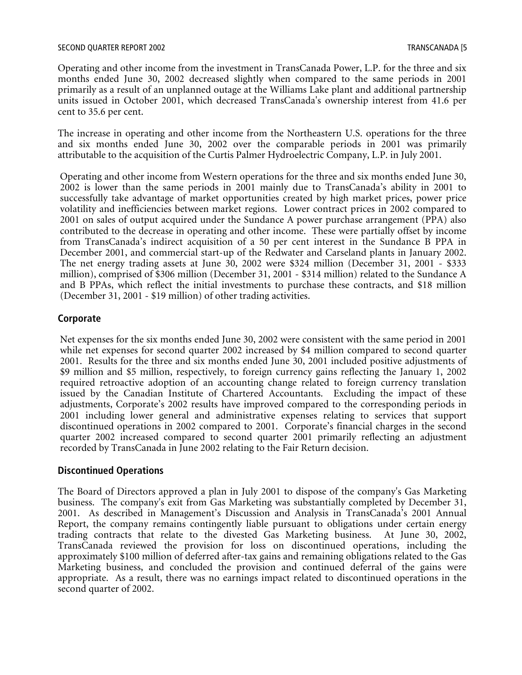Operating and other income from the investment in TransCanada Power, L.P. for the three and six months ended June 30, 2002 decreased slightly when compared to the same periods in 2001 primarily as a result of an unplanned outage at the Williams Lake plant and additional partnership units issued in October 2001, which decreased TransCanada's ownership interest from 41.6 per cent to 35.6 per cent.

The increase in operating and other income from the Northeastern U.S. operations for the three and six months ended June 30, 2002 over the comparable periods in 2001 was primarily attributable to the acquisition of the Curtis Palmer Hydroelectric Company, L.P. in July 2001.

Operating and other income from Western operations for the three and six months ended June 30, 2002 is lower than the same periods in 2001 mainly due to TransCanada's ability in 2001 to successfully take advantage of market opportunities created by high market prices, power price volatility and inefficiencies between market regions. Lower contract prices in 2002 compared to 2001 on sales of output acquired under the Sundance A power purchase arrangement (PPA) also contributed to the decrease in operating and other income. These were partially offset by income from TransCanada's indirect acquisition of a 50 per cent interest in the Sundance B PPA in December 2001, and commercial start-up of the Redwater and Carseland plants in January 2002. The net energy trading assets at June 30, 2002 were \$324 million (December 31, 2001 - \$333 million), comprised of \$306 million (December 31, 2001 - \$314 million) related to the Sundance A and B PPAs, which reflect the initial investments to purchase these contracts, and \$18 million (December 31, 2001 - \$19 million) of other trading activities.

#### **Corporate**

Net expenses for the six months ended June 30, 2002 were consistent with the same period in 2001 while net expenses for second quarter 2002 increased by \$4 million compared to second quarter 2001. Results for the three and six months ended June 30, 2001 included positive adjustments of \$9 million and \$5 million, respectively, to foreign currency gains reflecting the January 1, 2002 required retroactive adoption of an accounting change related to foreign currency translation issued by the Canadian Institute of Chartered Accountants. Excluding the impact of these adjustments, Corporate's 2002 results have improved compared to the corresponding periods in 2001 including lower general and administrative expenses relating to services that support discontinued operations in 2002 compared to 2001. Corporate's financial charges in the second quarter 2002 increased compared to second quarter 2001 primarily reflecting an adjustment recorded by TransCanada in June 2002 relating to the Fair Return decision.

#### **Discontinued Operations**

The Board of Directors approved a plan in July 2001 to dispose of the company's Gas Marketing business. The company's exit from Gas Marketing was substantially completed by December 31, 2001. As described in Management's Discussion and Analysis in TransCanada's 2001 Annual Report, the company remains contingently liable pursuant to obligations under certain energy trading contracts that relate to the divested Gas Marketing business. At June 30, 2002, TransCanada reviewed the provision for loss on discontinued operations, including the approximately \$100 million of deferred after-tax gains and remaining obligations related to the Gas Marketing business, and concluded the provision and continued deferral of the gains were appropriate. As a result, there was no earnings impact related to discontinued operations in the second quarter of 2002.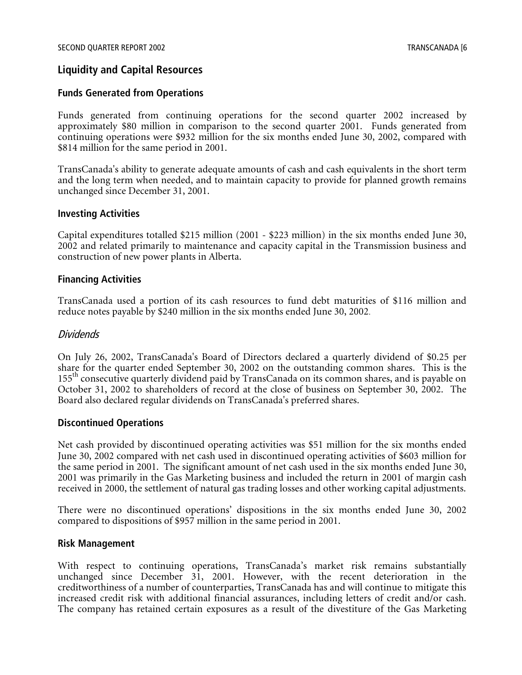#### **Liquidity and Capital Resources**

#### **Funds Generated from Operations**

Funds generated from continuing operations for the second quarter 2002 increased by approximately \$80 million in comparison to the second quarter 2001. Funds generated from continuing operations were \$932 million for the six months ended June 30, 2002, compared with \$814 million for the same period in 2001.

TransCanada's ability to generate adequate amounts of cash and cash equivalents in the short term and the long term when needed, and to maintain capacity to provide for planned growth remains unchanged since December 31, 2001.

#### **Investing Activities**

Capital expenditures totalled \$215 million (2001 - \$223 million) in the six months ended June 30, 2002 and related primarily to maintenance and capacity capital in the Transmission business and construction of new power plants in Alberta.

#### **Financing Activities**

TransCanada used a portion of its cash resources to fund debt maturities of \$116 million and reduce notes payable by \$240 million in the six months ended June 30, 2002.

#### Dividends

On July 26, 2002, TransCanada's Board of Directors declared a quarterly dividend of \$0.25 per share for the quarter ended September 30, 2002 on the outstanding common shares. This is the 155<sup>th</sup> consecutive quarterly dividend paid by TransCanada on its common shares, and is payable on October 31, 2002 to shareholders of record at the close of business on September 30, 2002. The Board also declared regular dividends on TransCanada's preferred shares.

#### **Discontinued Operations**

Net cash provided by discontinued operating activities was \$51 million for the six months ended June 30, 2002 compared with net cash used in discontinued operating activities of \$603 million for the same period in 2001. The significant amount of net cash used in the six months ended June 30, 2001 was primarily in the Gas Marketing business and included the return in 2001 of margin cash received in 2000, the settlement of natural gas trading losses and other working capital adjustments.

There were no discontinued operations' dispositions in the six months ended June 30, 2002 compared to dispositions of \$957 million in the same period in 2001.

#### **Risk Management**

With respect to continuing operations, TransCanada's market risk remains substantially unchanged since December 31, 2001. However, with the recent deterioration in the creditworthiness of a number of counterparties, TransCanada has and will continue to mitigate this increased credit risk with additional financial assurances, including letters of credit and/or cash. The company has retained certain exposures as a result of the divestiture of the Gas Marketing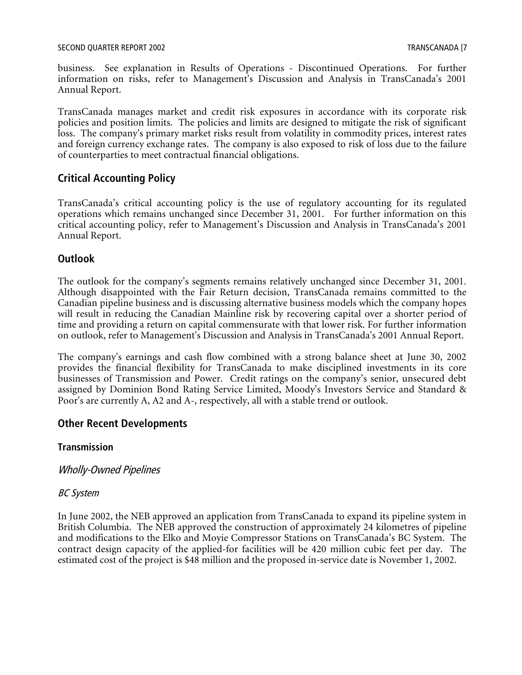business. See explanation in Results of Operations - Discontinued Operations. For further information on risks, refer to Management's Discussion and Analysis in TransCanada's 2001 Annual Report.

TransCanada manages market and credit risk exposures in accordance with its corporate risk policies and position limits. The policies and limits are designed to mitigate the risk of significant loss. The company's primary market risks result from volatility in commodity prices, interest rates and foreign currency exchange rates. The company is also exposed to risk of loss due to the failure of counterparties to meet contractual financial obligations.

# **Critical Accounting Policy**

TransCanada's critical accounting policy is the use of regulatory accounting for its regulated operations which remains unchanged since December 31, 2001. For further information on this critical accounting policy, refer to Management's Discussion and Analysis in TransCanada's 2001 Annual Report.

# **Outlook**

The outlook for the company's segments remains relatively unchanged since December 31, 2001. Although disappointed with the Fair Return decision, TransCanada remains committed to the Canadian pipeline business and is discussing alternative business models which the company hopes will result in reducing the Canadian Mainline risk by recovering capital over a shorter period of time and providing a return on capital commensurate with that lower risk. For further information on outlook, refer to Management's Discussion and Analysis in TransCanada's 2001 Annual Report.

The company's earnings and cash flow combined with a strong balance sheet at June 30, 2002 provides the financial flexibility for TransCanada to make disciplined investments in its core businesses of Transmission and Power. Credit ratings on the company's senior, unsecured debt assigned by Dominion Bond Rating Service Limited, Moody's Investors Service and Standard & Poor's are currently A, A2 and A-, respectively, all with a stable trend or outlook.

# **Other Recent Developments**

# **Transmission**

# Wholly-Owned Pipelines

# BC System

In June 2002, the NEB approved an application from TransCanada to expand its pipeline system in British Columbia. The NEB approved the construction of approximately 24 kilometres of pipeline and modifications to the Elko and Moyie Compressor Stations on TransCanada's BC System. The contract design capacity of the applied-for facilities will be 420 million cubic feet per day. The estimated cost of the project is \$48 million and the proposed in-service date is November 1, 2002.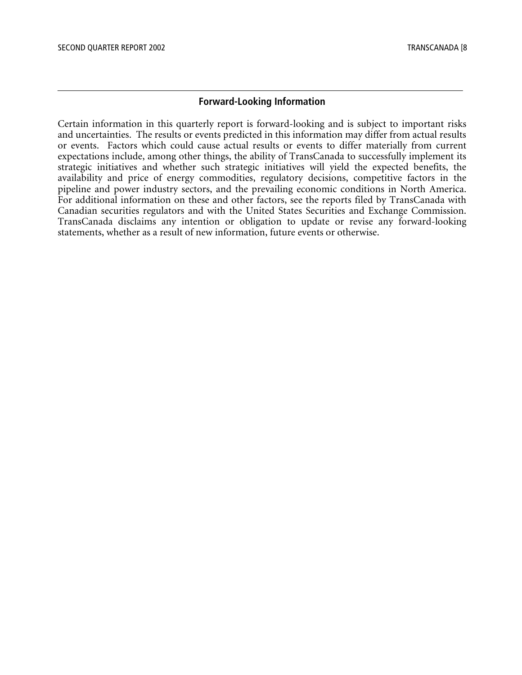#### **Forward-Looking Information**

Certain information in this quarterly report is forward-looking and is subject to important risks and uncertainties. The results or events predicted in this information may differ from actual results or events. Factors which could cause actual results or events to differ materially from current expectations include, among other things, the ability of TransCanada to successfully implement its strategic initiatives and whether such strategic initiatives will yield the expected benefits, the availability and price of energy commodities, regulatory decisions, competitive factors in the pipeline and power industry sectors, and the prevailing economic conditions in North America. For additional information on these and other factors, see the reports filed by TransCanada with Canadian securities regulators and with the United States Securities and Exchange Commission. TransCanada disclaims any intention or obligation to update or revise any forward-looking statements, whether as a result of new information, future events or otherwise.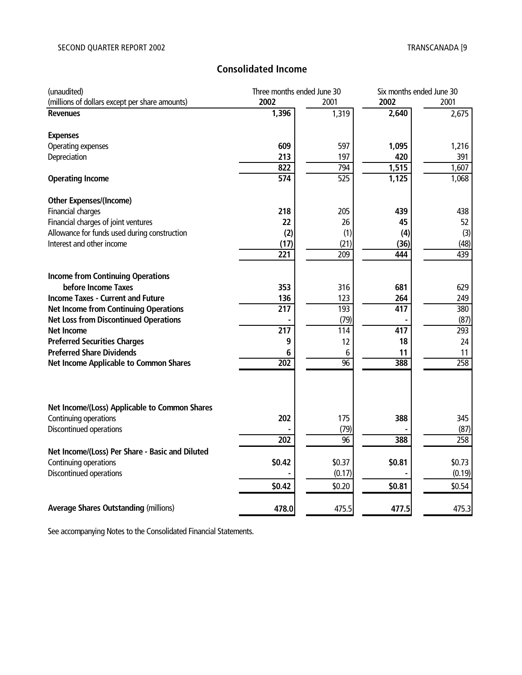# **Consolidated Income**

| (unaudited)                                     | Three months ended June 30 |                 | Six months ended June 30 |                  |  |
|-------------------------------------------------|----------------------------|-----------------|--------------------------|------------------|--|
| (millions of dollars except per share amounts)  | 2002                       | 2001            | 2002                     | 2001             |  |
| <b>Revenues</b>                                 | 1,396                      | 1,319           | 2,640                    | 2,675            |  |
| <b>Expenses</b>                                 |                            |                 |                          |                  |  |
| Operating expenses                              | 609                        | 597             | 1,095                    | 1,216            |  |
| Depreciation                                    | 213                        | 197             | 420                      | 391              |  |
|                                                 | 822                        | 794             | 1,515                    | 1,607            |  |
| <b>Operating Income</b>                         | $\overline{574}$           | 525             | 1,125                    | 1,068            |  |
| <b>Other Expenses/(Income)</b>                  |                            |                 |                          |                  |  |
| Financial charges                               | 218                        | 205             | 439                      | 438              |  |
| Financial charges of joint ventures             | 22                         | 26              | 45                       | 52               |  |
| Allowance for funds used during construction    | (2)                        | (1)             | (4)                      | (3)              |  |
| Interest and other income                       | (17)                       | (21)            | (36)                     | (48)             |  |
|                                                 | 221                        | 209             | 444                      | 439              |  |
|                                                 |                            |                 |                          |                  |  |
| <b>Income from Continuing Operations</b>        |                            |                 |                          |                  |  |
| before Income Taxes                             | 353                        | 316             | 681                      | 629              |  |
| <b>Income Taxes - Current and Future</b>        | 136                        | 123             | 264                      | 249              |  |
| <b>Net Income from Continuing Operations</b>    | $\overline{217}$           | 193             | $\overline{417}$         | 380              |  |
| <b>Net Loss from Discontinued Operations</b>    |                            | (79)            |                          | (87)             |  |
| <b>Net Income</b>                               | $\overline{217}$           | 114             | $\overline{417}$         | 293              |  |
| <b>Preferred Securities Charges</b>             | 9                          | 12              | 18                       | 24               |  |
| <b>Preferred Share Dividends</b>                | 6                          | 6               | 11                       | 11               |  |
| Net Income Applicable to Common Shares          | 202                        | $\overline{96}$ | 388                      | 258              |  |
|                                                 |                            |                 |                          |                  |  |
|                                                 |                            |                 |                          |                  |  |
| Net Income/(Loss) Applicable to Common Shares   |                            |                 |                          |                  |  |
| Continuing operations                           | 202                        | 175             | 388                      | 345              |  |
| Discontinued operations                         |                            | (79)            |                          | (87)             |  |
|                                                 | 202                        | $\overline{96}$ | 388                      | $\overline{258}$ |  |
| Net Income/(Loss) Per Share - Basic and Diluted |                            |                 |                          |                  |  |
| Continuing operations                           | \$0.42                     | \$0.37          | \$0.81                   | \$0.73           |  |
| Discontinued operations                         |                            | (0.17)          |                          | (0.19)           |  |
|                                                 | \$0.42                     | \$0.20          | \$0.81                   | \$0.54           |  |
| <b>Average Shares Outstanding (millions)</b>    | 478.0                      | 475.5           | 477.5                    | 475.3            |  |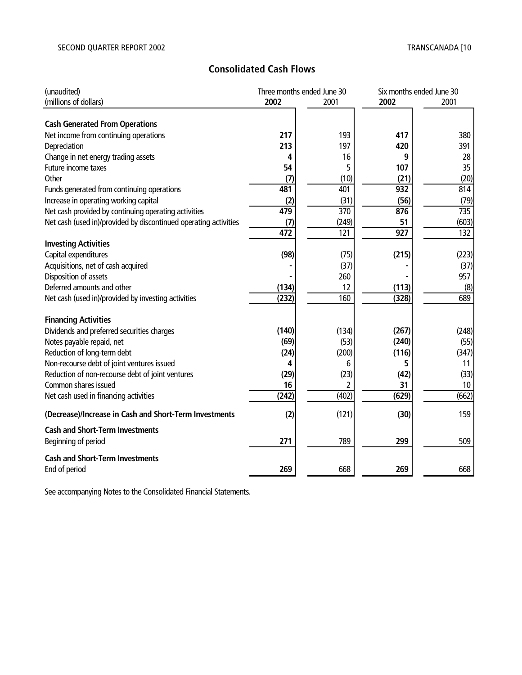# **Consolidated Cash Flows**

| (unaudited)                                                      |       | Three months ended June 30 |       | Six months ended June 30 |
|------------------------------------------------------------------|-------|----------------------------|-------|--------------------------|
| (millions of dollars)                                            | 2002  | 2001                       | 2002  | 2001                     |
|                                                                  |       |                            |       |                          |
| <b>Cash Generated From Operations</b>                            |       |                            |       |                          |
| Net income from continuing operations                            | 217   | 193                        | 417   | 380                      |
| Depreciation                                                     | 213   | 197                        | 420   | 391                      |
| Change in net energy trading assets                              | 4     | 16                         | 9     | 28                       |
| Future income taxes                                              | 54    | 5                          | 107   | 35                       |
| Other                                                            | (7)   | (10)                       | (21)  | (20)                     |
| Funds generated from continuing operations                       | 481   | 401                        | 932   | 814                      |
| Increase in operating working capital                            | (2)   | (31)                       | (56)  | (79)                     |
| Net cash provided by continuing operating activities             | 479   | 370                        | 876   | 735                      |
| Net cash (used in)/provided by discontinued operating activities | (7)   | (249)                      | 51    | (603)                    |
|                                                                  | 472   | 121                        | 927   | 132                      |
| <b>Investing Activities</b>                                      |       |                            |       |                          |
| Capital expenditures                                             | (98)  | (75)                       | (215) | (223)                    |
| Acquisitions, net of cash acquired                               |       | (37)                       |       | (37)                     |
| Disposition of assets                                            |       | 260                        |       | 957                      |
| Deferred amounts and other                                       | (134) | 12                         | (113) | (8)                      |
| Net cash (used in)/provided by investing activities              | (232) | 160                        | (328) | 689                      |
|                                                                  |       |                            |       |                          |
| <b>Financing Activities</b>                                      |       |                            |       |                          |
| Dividends and preferred securities charges                       | (140) | (134)                      | (267) | (248)                    |
| Notes payable repaid, net                                        | (69)  | (53)                       | (240) | (55)                     |
| Reduction of long-term debt                                      | (24)  | (200)                      | (116) | (347)                    |
| Non-recourse debt of joint ventures issued                       | 4     | 6                          | 5     | 11                       |
| Reduction of non-recourse debt of joint ventures                 | (29)  | (23)                       | (42)  | (33)                     |
| Common shares issued                                             | 16    | 2                          | 31    | 10                       |
| Net cash used in financing activities                            | (242) | (402)                      | (629) | (662)                    |
| (Decrease)/Increase in Cash and Short-Term Investments           | (2)   | (121)                      | (30)  | 159                      |
| <b>Cash and Short-Term Investments</b>                           |       |                            |       |                          |
| Beginning of period                                              | 271   | 789                        | 299   | 509                      |
| <b>Cash and Short-Term Investments</b>                           |       |                            |       |                          |
| End of period                                                    | 269   | 668                        | 269   | 668                      |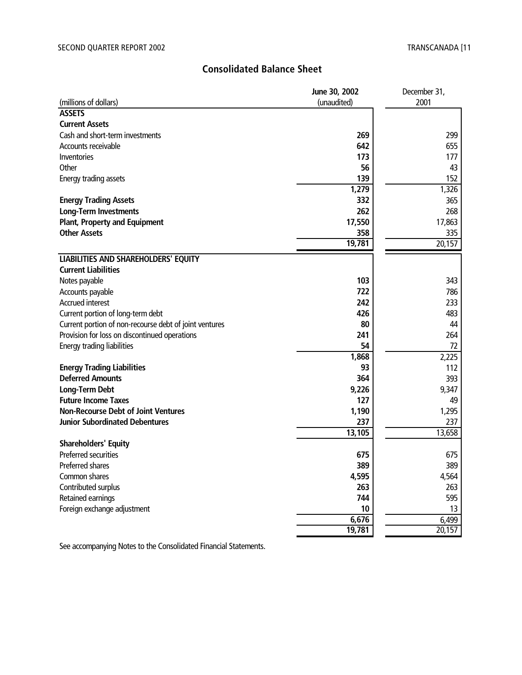# **Consolidated Balance Sheet**

|                                                        | June 30, 2002 | December 31, |
|--------------------------------------------------------|---------------|--------------|
| (millions of dollars)                                  | (unaudited)   | 2001         |
| <b>ASSETS</b>                                          |               |              |
| <b>Current Assets</b>                                  |               |              |
| Cash and short-term investments                        | 269           | 299          |
| Accounts receivable                                    | 642           | 655          |
| Inventories                                            | 173           | 177          |
| Other                                                  | 56            | 43           |
| Energy trading assets                                  | 139           | 152          |
|                                                        | 1,279         | 1,326        |
| <b>Energy Trading Assets</b>                           | 332           | 365          |
| <b>Long-Term Investments</b>                           | 262           | 268          |
| <b>Plant, Property and Equipment</b>                   | 17,550        | 17,863       |
| <b>Other Assets</b>                                    | 358           | 335          |
|                                                        | 19,781        | 20,157       |
| LIABILITIES AND SHAREHOLDERS' EQUITY                   |               |              |
| <b>Current Liabilities</b>                             |               |              |
| Notes payable                                          | 103           | 343          |
| Accounts payable                                       | 722           | 786          |
| <b>Accrued interest</b>                                | 242           | 233          |
| Current portion of long-term debt                      | 426           | 483          |
| Current portion of non-recourse debt of joint ventures | 80            | 44           |
| Provision for loss on discontinued operations          | 241           | 264          |
| Energy trading liabilities                             | 54            | 72           |
|                                                        | 1,868         | 2,225        |
| <b>Energy Trading Liabilities</b>                      | 93            | 112          |
| <b>Deferred Amounts</b>                                | 364           | 393          |
| <b>Long-Term Debt</b>                                  | 9,226         | 9,347        |
| <b>Future Income Taxes</b>                             | 127           | 49           |
| <b>Non-Recourse Debt of Joint Ventures</b>             | 1,190         | 1,295        |
| <b>Junior Subordinated Debentures</b>                  | 237           | 237          |
|                                                        | 13,105        | 13,658       |
| <b>Shareholders' Equity</b>                            |               |              |
| Preferred securities                                   | 675           | 675          |
| Preferred shares                                       | 389           | 389          |
| Common shares                                          | 4,595         | 4,564        |
| Contributed surplus                                    | 263           | 263          |
| Retained earnings                                      | 744           | 595          |
| Foreign exchange adjustment                            | 10            | 13           |
|                                                        | 6,676         | 6,499        |
|                                                        | 19,781        | 20,157       |
|                                                        |               |              |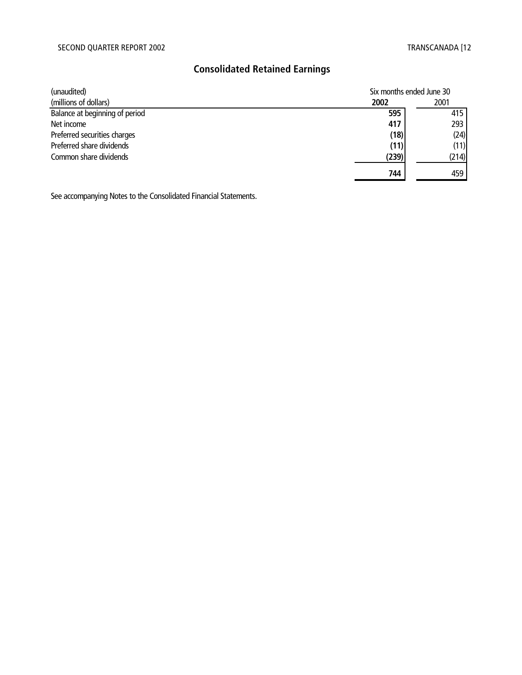# **Consolidated Retained Earnings**

| (unaudited)                    | Six months ended June 30 |       |
|--------------------------------|--------------------------|-------|
| (millions of dollars)          | 2002                     | 2001  |
| Balance at beginning of period | 595                      | 415   |
| Net income                     | 417                      | 293   |
| Preferred securities charges   | (18)                     | (24)  |
| Preferred share dividends      | (11)                     | (11)  |
| Common share dividends         | (239)                    | (214) |
|                                | 744                      | 459   |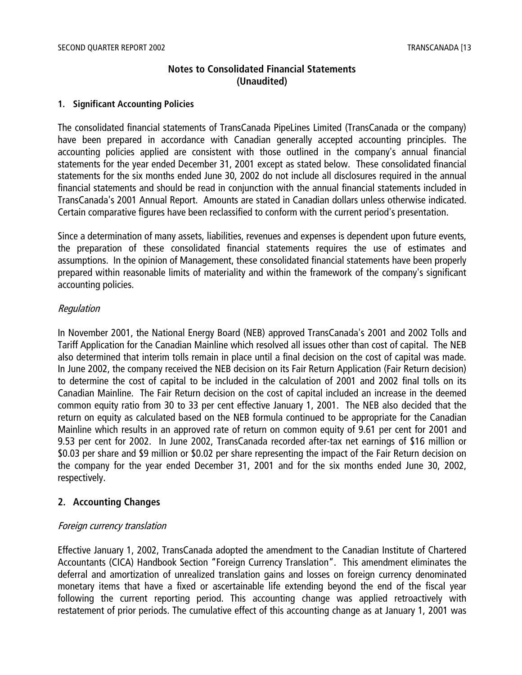# **Notes to Consolidated Financial Statements (Unaudited)**

#### **1. Significant Accounting Policies**

The consolidated financial statements of TransCanada PipeLines Limited (TransCanada or the company) have been prepared in accordance with Canadian generally accepted accounting principles. The accounting policies applied are consistent with those outlined in the company's annual financial statements for the year ended December 31, 2001 except as stated below. These consolidated financial statements for the six months ended June 30, 2002 do not include all disclosures required in the annual financial statements and should be read in conjunction with the annual financial statements included in TransCanada's 2001 Annual Report. Amounts are stated in Canadian dollars unless otherwise indicated. Certain comparative figures have been reclassified to conform with the current period's presentation.

Since a determination of many assets, liabilities, revenues and expenses is dependent upon future events, the preparation of these consolidated financial statements requires the use of estimates and assumptions. In the opinion of Management, these consolidated financial statements have been properly prepared within reasonable limits of materiality and within the framework of the company's significant accounting policies.

#### Regulation

In November 2001, the National Energy Board (NEB) approved TransCanada's 2001 and 2002 Tolls and Tariff Application for the Canadian Mainline which resolved all issues other than cost of capital. The NEB also determined that interim tolls remain in place until a final decision on the cost of capital was made. In June 2002, the company received the NEB decision on its Fair Return Application (Fair Return decision) to determine the cost of capital to be included in the calculation of 2001 and 2002 final tolls on its Canadian Mainline. The Fair Return decision on the cost of capital included an increase in the deemed common equity ratio from 30 to 33 per cent effective January 1, 2001. The NEB also decided that the return on equity as calculated based on the NEB formula continued to be appropriate for the Canadian Mainline which results in an approved rate of return on common equity of 9.61 per cent for 2001 and 9.53 per cent for 2002. In June 2002, TransCanada recorded after-tax net earnings of \$16 million or \$0.03 per share and \$9 million or \$0.02 per share representing the impact of the Fair Return decision on the company for the year ended December 31, 2001 and for the six months ended June 30, 2002, respectively.

# **2. Accounting Changes**

#### Foreign currency translation

Effective January 1, 2002, TransCanada adopted the amendment to the Canadian Institute of Chartered Accountants (CICA) Handbook Section "Foreign Currency Translation". This amendment eliminates the deferral and amortization of unrealized translation gains and losses on foreign currency denominated monetary items that have a fixed or ascertainable life extending beyond the end of the fiscal year following the current reporting period. This accounting change was applied retroactively with restatement of prior periods. The cumulative effect of this accounting change as at January 1, 2001 was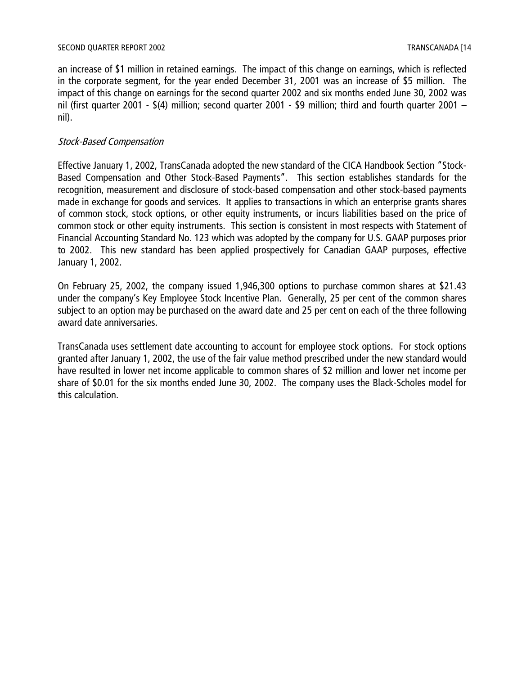an increase of \$1 million in retained earnings. The impact of this change on earnings, which is reflected in the corporate segment, for the year ended December 31, 2001 was an increase of \$5 million. The impact of this change on earnings for the second quarter 2002 and six months ended June 30, 2002 was nil (first quarter 2001 - \$(4) million; second quarter 2001 - \$9 million; third and fourth quarter 2001 – nil).

### Stock-Based Compensation

Effective January 1, 2002, TransCanada adopted the new standard of the CICA Handbook Section "Stock-Based Compensation and Other Stock-Based Payments". This section establishes standards for the recognition, measurement and disclosure of stock-based compensation and other stock-based payments made in exchange for goods and services. It applies to transactions in which an enterprise grants shares of common stock, stock options, or other equity instruments, or incurs liabilities based on the price of common stock or other equity instruments. This section is consistent in most respects with Statement of Financial Accounting Standard No. 123 which was adopted by the company for U.S. GAAP purposes prior to 2002. This new standard has been applied prospectively for Canadian GAAP purposes, effective January 1, 2002.

On February 25, 2002, the company issued 1,946,300 options to purchase common shares at \$21.43 under the company's Key Employee Stock Incentive Plan. Generally, 25 per cent of the common shares subject to an option may be purchased on the award date and 25 per cent on each of the three following award date anniversaries.

TransCanada uses settlement date accounting to account for employee stock options. For stock options granted after January 1, 2002, the use of the fair value method prescribed under the new standard would have resulted in lower net income applicable to common shares of \$2 million and lower net income per share of \$0.01 for the six months ended June 30, 2002. The company uses the Black-Scholes model for this calculation.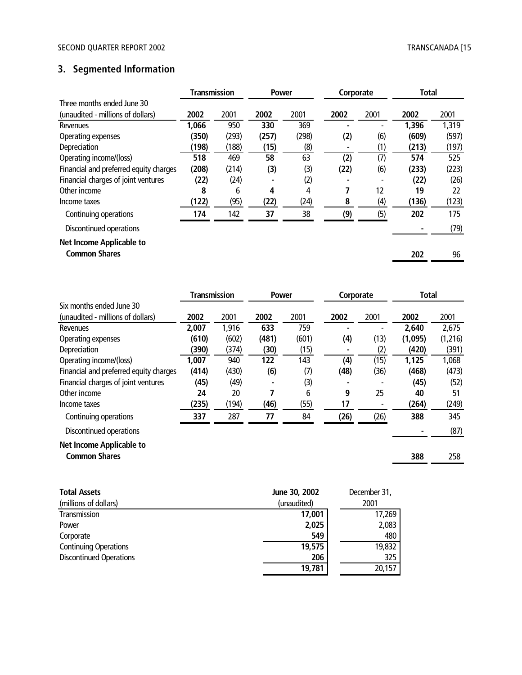# **3. Segmented Information**

|                                        | <b>Transmission</b> |       | <b>Power</b> |       | Corporate |      | <b>Total</b> |       |
|----------------------------------------|---------------------|-------|--------------|-------|-----------|------|--------------|-------|
| Three months ended June 30             |                     |       |              |       |           |      |              |       |
| (unaudited - millions of dollars)      | 2002                | 2001  | 2002         | 2001  | 2002      | 2001 | 2002         | 2001  |
| <b>Revenues</b>                        | 1,066               | 950   | 330          | 369   |           |      | 1,396        | 1,319 |
| Operating expenses                     | (350)               | (293) | (257)        | (298) | (2)       | (6)  | (609)        | (597) |
| Depreciation                           | (198)               | (188) | (15)         | (8)   |           | (1)  | (213)        | (197) |
| Operating income/(loss)                | 518                 | 469   | 58           | 63    | (2)       | (7)  | 574          | 525   |
| Financial and preferred equity charges | (208)               | (214) | (3)          | (3)   | (22)      | (6)  | (233)        | (223) |
| Financial charges of joint ventures    | (22)                | (24)  |              | (2)   |           |      | (22)         | (26)  |
| Other income                           | 8                   | 6     | 4            | 4     |           | 12   | 19           | 22    |
| Income taxes                           | (122)               | (95)  | (22)         | (24)  | 8         | (4)  | (136)        | (123) |
| Continuing operations                  | 174                 | 142   | 37           | 38    | (9)       | (5)  | 202          | 175   |
| Discontinued operations                |                     |       |              |       |           |      |              | (79)  |
| <b>Net Income Applicable to</b>        |                     |       |              |       |           |      |              |       |
| <b>Common Shares</b>                   |                     |       |              |       |           |      | 202          | 96    |

|                                        | <b>Transmission</b><br><b>Power</b> |       |       | Corporate |      | Total |         |         |
|----------------------------------------|-------------------------------------|-------|-------|-----------|------|-------|---------|---------|
| Six months ended June 30               |                                     |       |       |           |      |       |         |         |
| (unaudited - millions of dollars)      | 2002                                | 2001  | 2002  | 2001      | 2002 | 2001  | 2002    | 2001    |
| <b>Revenues</b>                        | 2,007                               | 1,916 | 633   | 759       |      |       | 2,640   | 2,675   |
| Operating expenses                     | (610)                               | (602) | (481) | (601)     | (4)  | (13)  | (1,095) | (1,216) |
| Depreciation                           | (390)                               | (374) | (30)  | (15)      |      | (2)   | (420)   | (391)   |
| Operating income/(loss)                | 1,007                               | 940   | 122   | 143       | (4)  | (15)  | 1,125   | 1,068   |
| Financial and preferred equity charges | (414)                               | (430) | (6)   | (7)       | (48) | (36)  | (468)   | (473)   |
| Financial charges of joint ventures    | (45)                                | (49)  |       | (3)       |      |       | (45)    | (52)    |
| Other income                           | 24                                  | 20    | 7     | 6         | 9    | 25    | 40      | 51      |
| Income taxes                           | (235)                               | (194) | (46)  | (55)      | 17   |       | (264)   | (249)   |
| Continuing operations                  | 337                                 | 287   | 77    | 84        | (26) | (26)  | 388     | 345     |
| Discontinued operations                |                                     |       |       |           |      |       |         | (87)    |
| <b>Net Income Applicable to</b>        |                                     |       |       |           |      |       |         |         |
| <b>Common Shares</b>                   |                                     |       |       |           |      |       | 388     | 258     |
|                                        |                                     |       |       |           |      |       |         |         |

| <b>Total Assets</b>            | June 30, 2002 | December 31, |
|--------------------------------|---------------|--------------|
| (millions of dollars)          | (unaudited)   | 2001         |
| Transmission                   | 17,001        | 17,269       |
| Power                          | 2,025         | 2,083        |
| Corporate                      | 549           | 480          |
| <b>Continuing Operations</b>   | 19,575        | 19,832       |
| <b>Discontinued Operations</b> | 206           | 325          |
|                                | 19,781        | 20,157       |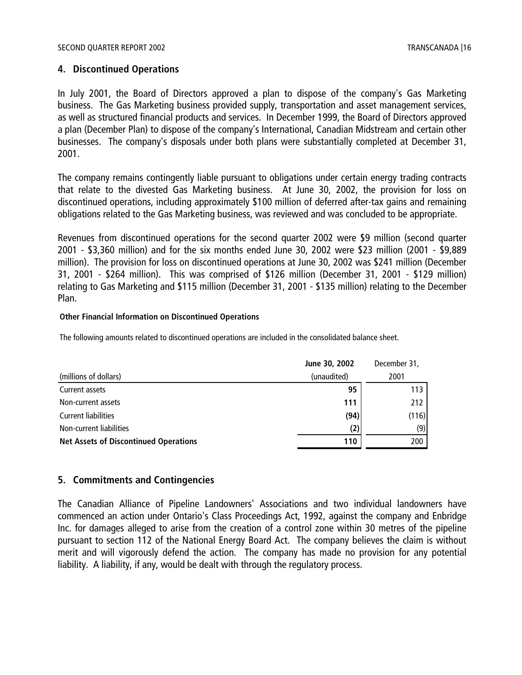#### **4. Discontinued Operations**

In July 2001, the Board of Directors approved a plan to dispose of the company's Gas Marketing business. The Gas Marketing business provided supply, transportation and asset management services, as well as structured financial products and services. In December 1999, the Board of Directors approved a plan (December Plan) to dispose of the company's International, Canadian Midstream and certain other businesses. The company's disposals under both plans were substantially completed at December 31, 2001.

The company remains contingently liable pursuant to obligations under certain energy trading contracts that relate to the divested Gas Marketing business. At June 30, 2002, the provision for loss on discontinued operations, including approximately \$100 million of deferred after-tax gains and remaining obligations related to the Gas Marketing business, was reviewed and was concluded to be appropriate.

Revenues from discontinued operations for the second quarter 2002 were \$9 million (second quarter 2001 - \$3,360 million) and for the six months ended June 30, 2002 were \$23 million (2001 - \$9,889 million). The provision for loss on discontinued operations at June 30, 2002 was \$241 million (December 31, 2001 - \$264 million). This was comprised of \$126 million (December 31, 2001 - \$129 million) relating to Gas Marketing and \$115 million (December 31, 2001 - \$135 million) relating to the December Plan.

#### **Other Financial Information on Discontinued Operations**

The following amounts related to discontinued operations are included in the consolidated balance sheet.

|                                              | June 30, 2002 | December 31, |
|----------------------------------------------|---------------|--------------|
| (millions of dollars)                        | (unaudited)   | 2001         |
| Current assets                               | 95            | 113          |
| Non-current assets                           | 111           | 212          |
| <b>Current liabilities</b>                   | (94)          | (116)        |
| Non-current liabilities                      | (2)           | (9)          |
| <b>Net Assets of Discontinued Operations</b> | 110           | 200          |

#### **5. Commitments and Contingencies**

The Canadian Alliance of Pipeline Landowners' Associations and two individual landowners have commenced an action under Ontario's Class Proceedings Act, 1992, against the company and Enbridge Inc. for damages alleged to arise from the creation of a control zone within 30 metres of the pipeline pursuant to section 112 of the National Energy Board Act. The company believes the claim is without merit and will vigorously defend the action. The company has made no provision for any potential liability. A liability, if any, would be dealt with through the regulatory process.